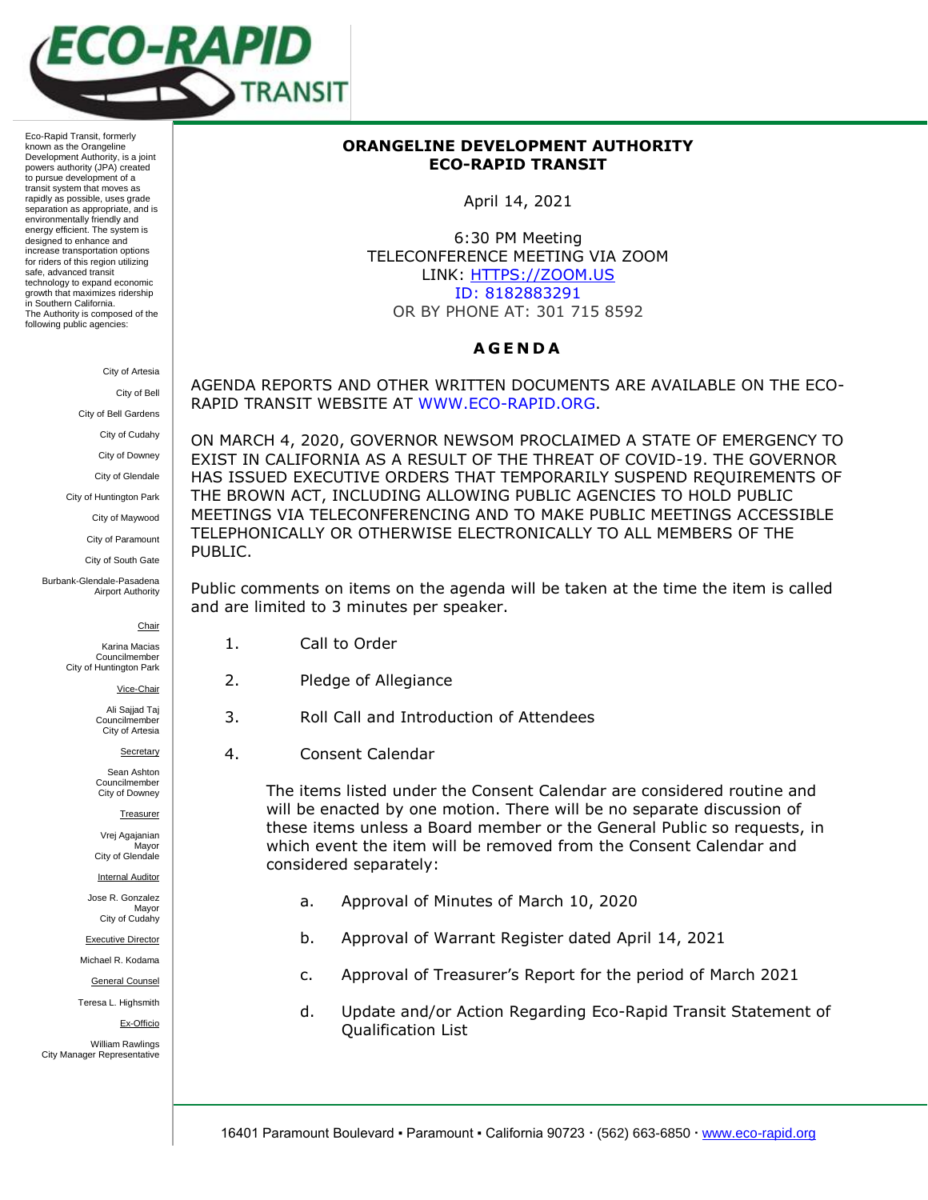

Eco-Rapid Transit, formerly known as the Orangeline Development Authority, is a joint powers authority (JPA) created to pursue development of a transit system that moves as rapidly as possible, uses grade separation as appropriate, and is environmentally friendly and energy efficient. The system is designed to enhance and increase transportation options for riders of this region utilizing safe, advanced transit technology to expand economic growth that maximizes ridership in Southern California. The Authority is composed of the following public agencies:

City of Artesia

City of Bell

City of Bell Gardens

City of Cudahy

City of Downey

City of Glendale

City of Huntington Park

City of Maywood

City of Paramount

City of South Gate

Burbank-Glendale-Pasadena Airport Authority

Chair

Vice-Chair Ali Sajjad Taj Councilmember City of Artesia Secretary

Karina Macias Councilmember City of Huntington Park

2. Pledge of Allegiance

3. Roll Call and Introduction of Attendees

4. Consent Calendar

The items listed under the Consent Calendar are considered routine and will be enacted by one motion. There will be no separate discussion of these items unless a Board member or the General Public so requests, in which event the item will be removed from the Consent Calendar and considered separately:

- a. Approval of Minutes of March 10, 2020
- b. Approval of Warrant Register dated April 14, 2021
- c. Approval of Treasurer's Report for the period of March 2021
- d. Update and/or Action Regarding Eco-Rapid Transit Statement of Qualification List

## **ORANGELINE DEVELOPMENT AUTHORITY ECO-RAPID TRANSIT**

April 14, 2021

6:30 PM Meeting TELECONFERENCE MEETING VIA ZOOM LINK: HTTPS://ZOOM.US ID: 8182883291 OR BY PHONE AT: 301 715 8592

## **A G E N D A**

AGENDA REPORTS AND OTHER WRITTEN DOCUMENTS ARE AVAILABLE ON THE ECO-RAPID TRANSIT WEBSITE AT [WWW.ECO-RAPID.ORG.](http://www.eco-rapid.org/)

ON MARCH 4, 2020, GOVERNOR NEWSOM PROCLAIMED A STATE OF EMERGENCY TO EXIST IN CALIFORNIA AS A RESULT OF THE THREAT OF COVID-19. THE GOVERNOR HAS ISSUED EXECUTIVE ORDERS THAT TEMPORARILY SUSPEND REQUIREMENTS OF THE BROWN ACT, INCLUDING ALLOWING PUBLIC AGENCIES TO HOLD PUBLIC MEETINGS VIA TELECONFERENCING AND TO MAKE PUBLIC MEETINGS ACCESSIBLE TELEPHONICALLY OR OTHERWISE ELECTRONICALLY TO ALL MEMBERS OF THE PUBLIC.

Public comments on items on the agenda will be taken at the time the item is called and are limited to 3 minutes per speaker.

- 1. Call to Order
- 
- 
- 

Sean Ashton Councilmember City of Downey Treasurer

Vrej Agajanian **Mavor** City of Glendale

Internal Auditor

Jose R. Gonzalez Mayor City of Cudahy

Executive Director

Michael R. Kodama

General Counsel

Teresa L. Highsmith

Ex-Officio

William Rawlings City Manager Representative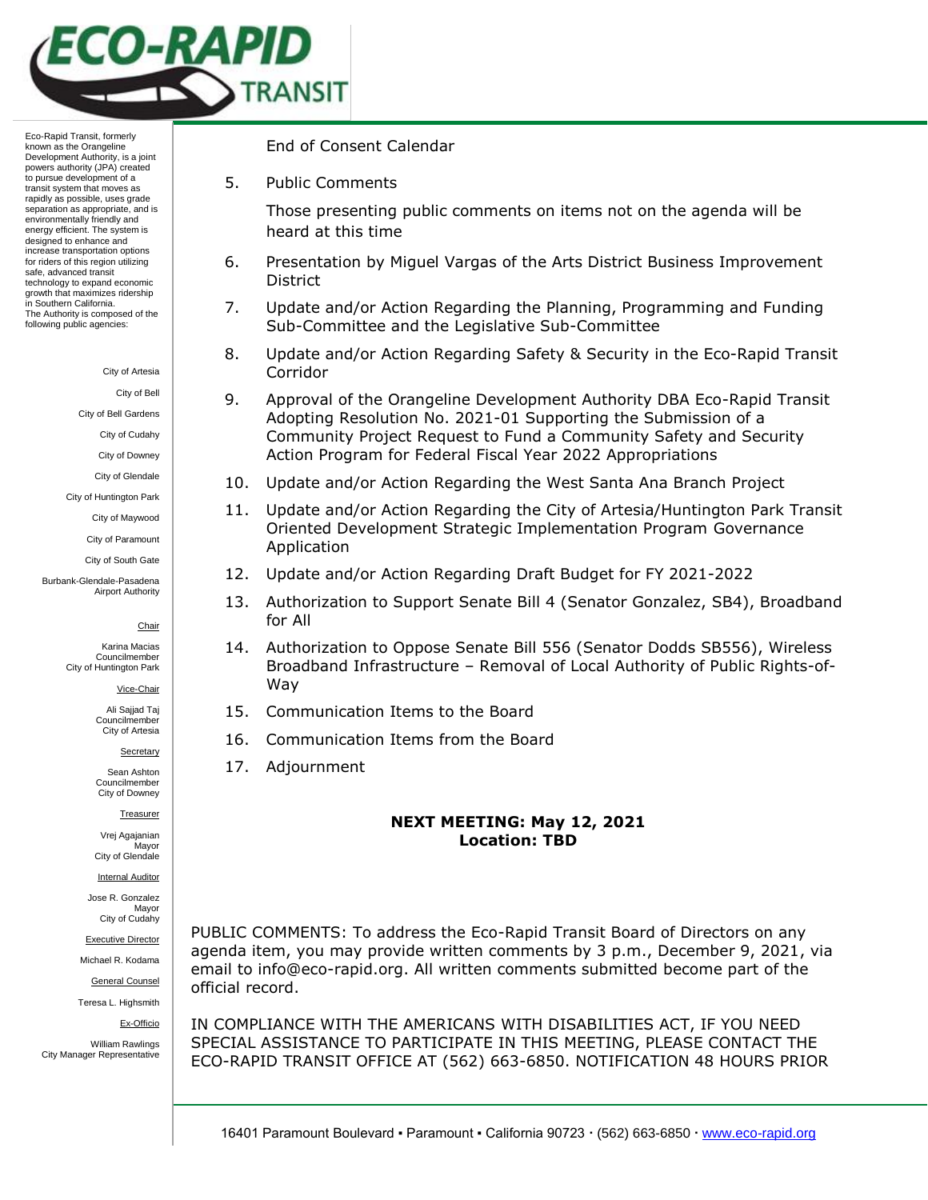

Eco-Rapid Transit, formerly known as the Orangeline Development Authority, is a joint powers authority (JPA) created to pursue development of a transit system that moves as rapidly as possible, uses grade separation as appropriate, and is environmentally friendly and energy efficient. The system is designed to enhance and increase transportation options for riders of this region utilizing safe, advanced transit technology to expand economic growth that maximizes ridership in Southern California. The Authority is composed of the following public agencies:

City of Artesia

City of Bell

City of Bell Gardens

City of Cudahy

City of Downey

City of Glendale

City of Huntington Park

City of Maywood City of Paramount

City of South Gate

Burbank-Glendale-Pasadena Airport Authority

### Chair

Karina Macias Councilmember City of Huntington Park

Vice-Chair

Ali Sajjad Taj Councilmember City of Artesia

Secretary

Sean Ashton Councilmember City of Downey

Treasurer

Vrej Agajanian **Mavor** City of Glendale

Internal Auditor

Jose R. Gonzalez Mayor City of Cudahy

Executive Director

Michael R. Kodama

General Counsel

Teresa L. Highsmith

Ex-Officio

William Rawlings City Manager Representative End of Consent Calendar

5. Public Comments

Those presenting public comments on items not on the agenda will be heard at this time

- 6. Presentation by Miguel Vargas of the Arts District Business Improvement District
- 7. Update and/or Action Regarding the Planning, Programming and Funding Sub-Committee and the Legislative Sub-Committee
- 8. Update and/or Action Regarding Safety & Security in the Eco-Rapid Transit Corridor
- 9. Approval of the Orangeline Development Authority DBA Eco-Rapid Transit Adopting Resolution No. 2021-01 Supporting the Submission of a Community Project Request to Fund a Community Safety and Security Action Program for Federal Fiscal Year 2022 Appropriations
- 10. Update and/or Action Regarding the West Santa Ana Branch Project
- 11. Update and/or Action Regarding the City of Artesia/Huntington Park Transit Oriented Development Strategic Implementation Program Governance Application
- 12. Update and/or Action Regarding Draft Budget for FY 2021-2022
- 13. Authorization to Support Senate Bill 4 (Senator Gonzalez, SB4), Broadband for All
- 14. Authorization to Oppose Senate Bill 556 (Senator Dodds SB556), Wireless Broadband Infrastructure – Removal of Local Authority of Public Rights-of-Way
- 15. Communication Items to the Board
- 16. Communication Items from the Board
- 17. Adjournment

# **NEXT MEETING: May 12, 2021 Location: TBD**

PUBLIC COMMENTS: To address the Eco-Rapid Transit Board of Directors on any agenda item, you may provide written comments by 3 p.m., December 9, 2021, via email to info@eco-rapid.org. All written comments submitted become part of the official record.

IN COMPLIANCE WITH THE AMERICANS WITH DISABILITIES ACT, IF YOU NEED SPECIAL ASSISTANCE TO PARTICIPATE IN THIS MEETING, PLEASE CONTACT THE ECO-RAPID TRANSIT OFFICE AT (562) 663-6850. NOTIFICATION 48 HOURS PRIOR